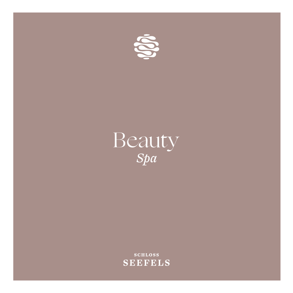

# Beauty *Spa*

**SCHLOSS SEEFELS**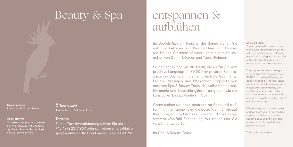# Beauty & Spa

**Opening times** Daily from 9:00 until 20:00

### **Appointments**

To make an appointment, please call +43 4272 2377 960 or email spa@seefels.at. At the hotel, you can dial extension 960.

**Öffnungszeit** Täglich von 9 bis 20 Uhr

# **Termine**

Für die Terminvereinbarung wählen Sie bitte +43 4272 2377 960 oder schreiben eine E-Mail an spa@seefels.at . Im Hotel wählen Sie die DW 960.

# entspannen & aufblühen

Im Seefels-Spa am Platz an der Sonne blühen Sie auf. Sie betreten ein Bisazza-Meer von Blumen aus kleinen Glasmosaikfliesen und fühlen sich umgeben von Gummibäumen und Yucca-Palmen.

So beeindruckend wie die Natur, die wir für Sie vom prachtvoll angelegten, 30.000 m2 privaten Schlossgarten ins Spa hereinholen, sind auch die Treatments, Facials, Massagen und klassischen Angebote von unserem Spa & Beauty-Team, das voller Kompetenz, Harmonie und Empathie glänzt – so golden wie die kunstvollen Bisazza-Säulen im Spa.

Gerne stehen wir Ihnen beratend zur Seite und treffen mit Ihnen gemeinsam die beste Wahl für die auf Ihren Körper, Ihre Haut und Ihre Bedürfnisse abgestimmte Wohlfühl-Behandlung. Wir freuen uns, Sie verwöhnen zu dürfen.

Ihr Spa- & Beauty-Team

### **Enjoy & bloom**

You are sure to bloom with a seat in the sun at the Seefels Spa. You will enter a Bisazza sea of flowers made from small glass mosaic tiles and feel yourself surrounded by rubber plants and Yucca palms.

The impressive nature brought into the spa from the magnificent 30,000 m2 private Schloss gardens is rivalled by the impressive treatments, facials, massages and classic offers provided by our spa & beauty team who radiate with competence, harmony and empathy – as golden as the Bisazza columns in the spa.

We are always on hand to advise and work with you to find the best choice of well-being treatment adapted to your body, skin and requirements. We look forward to pampering you!

The spa & beauty team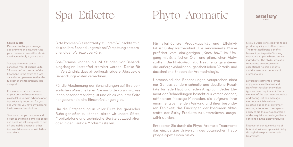# Spa-Etikette

# Phyto-Aromatic

### **Spa etiquette**

Please arrive for your arranged appointment on time, otherwise your treatment time will be shortened accordingly if you are late.

Spa appointments can be cancelled free-of-charge up to 24 hours before the start of the treatment. In the event of a late cancellation, please note that the full cost of the treatment will be charged.

If you wish to tailor a treatment to your personal requirements, please let us know in advance what is particularly important for you and whether you have any personal health-related restrictions.

To ensure that you can relax and bloom to the full in complete peace and quiet, we ask our guests to turn off any mobile phones or other technical devices or to switch them onto silent.

Bitte kommen Sie rechtzeitig zu Ihrem Wunschtermin, da sich Ihre Behandlungszeit bei Verspätung entsprechend der Wartezeit verkürzt.

Spa-Termine können bis 24 Stunden vor Behandlungsbeginn kostenfrei storniert werden. Danke für Ihr Verständnis, dass wir bei kurzfristigerer Absage die Behandlungskosten verrechnen.

Für die Abstimmung der Behandlungen auf Ihre persönlichen Wünsche teilen Sie uns bitte vorab mit, was Ihnen besonders wichtig ist und ob es von Ihrer Seite her gesundheitliche Einschränkungen gibt.

Um die Entspannung in voller Blüte bei gänzlicher Ruhe genießen zu können, bitten wir unsere Gäste, Mobiltelefone und technische Geräte auszuschalten oder in den Lautlos-Modus zu stellen.

Für allerhöchste Produktqualität und Effektivität ist Sisley weltberühmt. Die renommierte Marke profitiert vom einzigartigen "Know-how" im Umgang mit ätherischen Ölen und pflanzlichen Aktivstoffen. Die Phyto-Aromatic Treatments garantieren die außergewöhnlichen, ganzheitlichen Vorteile und das sinnliche Erleben der Aromachologie.

Unterschiedliche Behandlungen versprechen nicht nur Genuss, sondern schnelle und deutliche Resultate für jede Haut und jeden Anspruch. Jedes Element der Behandlungen besteht aus verschiedenen, raffinierten Massage-Methoden, die aufgrund ihrer enorm entspannenden Wirkung und ihrer besonderen Fähigkeit, das Eindringen der kostbaren Aktivstoffe der Sisley-Produkte zu unterstützen, ausgewählt wurden.

Entdecken Sie durch die Phyto-Aromatic Treatments das einzigartige Universum des botanischen Hautpflege-Spezialisten Sisley.

Sisley is world-renowned for its top product quality and effectiveness. The renowned brand benefits from unique 'expertise' in using essential and plant-based active ingredients. The phyto-aromatic treatments guarantee some exceptional, holistic benefits and the sensual experience of aromachology.

**sislev** 

Different treatments promise enjoyment as well as fast and significant results for any skin type and any requirement. Every element of the treatments consists of differing, refined massage methods which have been selected due to their extremely relaxing effects and their special ability to aid the skin's absorption of the exquisite active ingredients contained in the Sisley products.

Discover the unique universe of botanical skincare specialist Sisley through these phyto-aromatic treatments.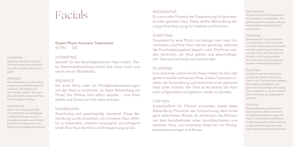# Facials

**Expert Phyto-Aromatic Treatments** 60 Min 130

### HYDRATING

Specially created for dry skin. This facial treatment will leave your skin as fresh and soft as a petal.

### RADIANCE

This treatment is a must before a party or to eradicate signs of tiredness. The effects are immediately visible – and your skin will be left radiant and free from any signs of stress.

### NOURISHING

With a rich and smooth feel. This treatment was developed to effectively treat dry skin. It provides intensive nourishment and care and leaves your skin feeling comfortable and relaxed.

# HYDRATING

Speziell für die feuchtigkeitsarme Haut kreiert. Diese Gesichtsbehandlung macht Ihre Haut frisch und weich wie ein Blütenblatt.

# RADIANCE

Vor einer Party oder um Müdigkeitserscheinungen auf der Haut zu entfernen, ist diese Behandlung ein Muss! Die Effekte sind sofort spürbar – Ihre Haut strahlt und Stress ist nicht mehr sichtbar.

## NOURISHING

Reichhaltig und geschmeidig machend. Diese Behandlung wurde entwickelt, um trockene Haut effektiv zu behandeln. Intensiv vorsorgend und pflegend erhält Ihre Haut Komfort und Entspannung zurück.

## RESTORATIVE

Ein wertvoller Moment der Entspannung für gestresste oder gereizte Haut. Diese sanfte Behandlung beruhigt Ihre Haut, sorgt für Vitalität und Komfort.

## PURIFYING

Entwickelt für eine Misch- bis fettige Haut oder Unreinheiten, wird Ihre Haut intensiv gereinigt, während der Feuchtigkeitsgehalt bewahrt wird. Die Poren werden verfeinert, die Haut geklärt und ebenmäßiger. Der Teint wird erfrischt und strahlender.

# PLUMPING

Eine duftende und sinnliche Reise mitten ins Herz der geheimnisvollen schwarzen Rose. Dieses Treatment erweckt die Ausstrahlung und Schönheit einer glatteren Haut voller Vitalität. Der Teint ist leuchtend, die Haut wirkt aufgepolstert und gewinnt wieder an Zartheit.

## FOR MEN

Ausschließlich für Männer entwickelt, bietet diese Behandlung Momente der Entspannung dank eines ganz bestimmten Rituals. Es kombiniert die Effizienz mit dem Wohlbefinden einer durchfeuchteten und belebten Haut und hinterlässt diese frei von Müdigkeitserscheinungen und Stress.

### RESTORATIVE

A precious moment of relaxation for stressed or irritated skin. This gentle treatment soothes the skin and provides enhanced vitality and comfort.

## PURIFYING

Developed for a mix of medium to greasy skin or skin impurities, your skin will be intensively cleansed while preserving its moisture content. Pores are reduced and the skin is left looking clearer and more even. The complexion appears refreshed and radiant.

### PLUMPING

A fragrant and sensual journey to the heart of the mysterious black rose. This treatment awakens the radiance and beauty of a smoother skin packed with vitality. The complexion is vibrant and the skin is plumped up, regaining its softness.

#### FOR MEN

Developed exclusively for men, this treatment offers moments of relaxation based on a specific ritual. It combines the efficiency of well-being with moisturised and invigorated skin, leaving it free from signs of stress and tiredness.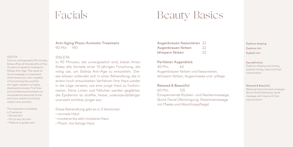# Facials

# Beauty Basics

**Anti-Aging Phyto-Aromatic Treatment**  90 Min 190

Over an unforgettable 90 minutes, Sisley offers all the benefits of the 10 years of research invested in Sisleÿa Anti-Age. The result of this knowledge is a treatment which leaves your skin capable of functioning like youthful skin again, based on a highly developed process. Fine lines and wrinkles are smoothed out, the epidermis becomes firmer and more resilient and looks visibly more youthful.

The treatment is available in 3 versions:

• Normal skin

SISLEŸA

- Dry to very dry skin
- Medium to greasy skin

# SISLEŸA

In 90 Minuten, die unvergesslich sind, bietet Ihnen Sisley alle Vorteile einer 10-jährigen Forschung, die nötig war, um Sisleÿa Anti-Age zu entwickeln. Dieses Wissen vollendet sich in einer Behandlung, die in einem hoch entwickelten Verfahren Ihre Haut wieder in die Lage versetzt, wie eine junge Haut zu funktionieren. Feine Linien und Fältchen werden geglättet, die Epidermis ist straffer, fester, widerstandsfähiger und sieht sichtbar jünger aus.

Diese Behandlung gibt es in 3 Versionen:

- normale Haut
- trockene bis sehr trockene Haut
- Misch- bis fettige Haut

| <b>Augenbrauen fassonieren 22</b> |     |
|-----------------------------------|-----|
| Augenbrauen färben                | -22 |
| Wimpern färben                    | -22 |

**Perfekter Augenblick**  40 Min 65 Augenbrauen färben und fassonieren, Wimpern färben, Augenmaske und -pflege

**Relaxed & Beautiful**

60 Min 125 Entspannende Rücken- und Nackenmassage, Quick Facial (Abreinigung, Gesichtsmassage mit Maske und Abschlusspflege)

**Eyebrow shaping Eyebrow tint Eyelash tint** 

**Eye definition**  Eyebrow shaping and tinting, eyelash tinting, mask and final care product

**Relaxed & Beautiful** Relaxing back and neck massage, Quick facial (cleansing, facial massage with mask and final care product)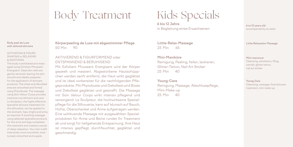# Body Treatment

## **Body peel de Luxe with tailored skincare**

## ACTIVATING & FIGURE-SHAPING or RELAXING & SOOTHING

The body is exfoliated and massaged using Exfoliant Moussant Energisant. Dead skin cells are gently removed, leaving the skin smooth and ideally prepared for the application of skincare products. The chest and décolleté area are smoothed and firmed using Phytobuste. The massage using Soin Velour Corps provides intensive nourishment and care. Le Sculpteur, the highly effective specialist skincare treatment for the silhouette, can be applied to the stomach, hips, thighs and arms, as required. A soothing massage using selected specialist products for the arms and legs completes the treatment and creates a sense of deep relaxation. Your skin is left intensively more nourished, moisturised, smoothed and supple.

**Körperpeeling de Luxe mit abgestimmter Pflege**  50 Min 90

# AKTIVIEREND & FIGURFORMEND oder ENTSPANNEND & BERUHIGEND

Mit Exfoliant Moussant Energisant wird der Körper gepeelt und massiert. Abgestorbene Hautschüppchen werden sanft entfernt, die Haut wirkt geglättet und ist ideal vorbereitet für die nachfolgenden Pflegeprodukte. Mit Phytobuste und Dekolleté wird Büste und Dekolleté geglättet und gestrafft. Die Massage mit Soin Velour Corps wirkt intensiv pflegend und versorgend. Le Sculpteur, die hochwirksame Spezialpflege für die Silhouette, kann auf Wunsch auf Bauch, Hüfte, Oberschenkel und Arme aufgetragen werden. Eine wohltuende Massage mit ausgewählten Spezialprodukten für Arme und Beine rundet Ihr Treatment ab und sorgt für tiefgehende Entspannung. Ihre Haut ist intensiv gepflegt, durchfeuchtet, geglättet und geschmeidig.

# Kids Specials

**6 bis 12 Jahre**  in Begleitung eines Erwachsenen

**Little-Relax-Massage** 25 Min 65

**Mini-Maniküre** Reinigung, Peeling, feilen, lackieren, Glitter-Tattoo, Nail Art Sticker 25 Min 40

**Young-Care** Reinigung, Massage, Abschlusspflege, Mini-Make-up 25 Min 40

**6 to 12 years old** accompanied by an adult

**Little Relaxation Massage**

**Mini-manicure** Cleansing, exfoliation, filing, varnish, glitter tattoo, nail art sticker

**Young Care** Cleansing, massage, final skincare treatment, mini make-up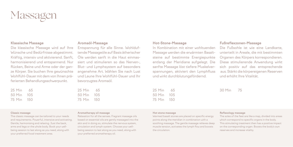

## **Klassische Massage**

Die klassische Massage wird auf Ihre Wünsche und Bedürfnisse abgestimmt. Kräftig, intensiv und aktivierend. Sanft, harmonisierend und entspannend. Nur Rücken, Beine und Arme oder der ganze Körper. Sie buchen Ihre gewünschte Wohlfühl-Dauer mit dem von Ihnen präferierten Behandlungsschwerpunkt.

| 25 Min | 65   |
|--------|------|
| 50 Min | 1()5 |
| 75 Min | 150  |

## **Aromaöl-Massage**

Entspannung für alle Sinne. Wohlduftende Massageöle auf Basis ätherischer Öle werden sanft in die Haut einmassiert und stimulieren so das Nerven-, Blut- und Lymphsystem auf besonders angenehme Art. Wählen Sie nach Lust und Laune Ihre Wohlfühl-Dauer und Ihr bevorzugtes Aromaöl.

25 Min 65 50 Min 105 75 Min 150

# **Hot-Stone-Massage**

In Kombination mit einer wohltuenden Massage werden die erwärmten Basaltsteine auf bestimmte Energiepunkte entlang der Meridiane aufgelegt. Die sanfte Massage löst tiefere Muskelverspannungen, aktiviert den Lymphfluss und wirkt durchblutungsfördernd.

25 Min 65 50 Min 105 75 Min 150

# **Fußreflexzonen-Massage**

Die Fußsohle ist wie eine Landkarte, unterteilt in Areale, die mit bestimmten Organen des Körpers korrespondieren. Diese stimulierende Anwendung wirkt sich positiv auf das entsprechende aus. Stärkt die körpereigenen Reserven und erhöht Ihre Vitalität.

30 Min 75

### **Classic massage**

The classic massage can be tailored to your needs and requirements. Powerful, intensive and activating. Gentle, harmonising and relaxing. Just the back, arms and legs or the whole body. Book your wellbeing session to last along as you need, along with your preferred focal treatment area.

#### **Aromatherapy oil massage**

Relaxation for all the senses. Fragrant massage oils based on essential oils are gently massaged into the skin and in doing so, stimulate the nervous system, circulation and lymph system. Choose your wellbeing session to last along as you need, along with your preferred aromatherapy oil.

### **Hot stone massage**

Warmed basalt stones are placed on specific energy points along the meridian in combination with a soothing massage. The gentle massage relieves deep muscle tension, activates the lymph flow and boosts the circulation.

### **Reflexology massage**

The soles of the feet are like a map, divided into areas which correspond to specific organs in the body. This stimulating treatment then has a positive impact on the corresponding organ. Boosts the body's own reserves and increase vitality.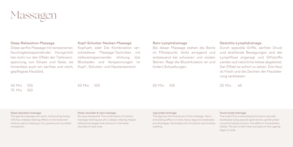

# **Deep-Relaxation-Massage**

Diese sanfte Massage mit temperierter, feuchtigkeitsspendender Honigmilch hat nicht nur den Effekt der Tiefenentspannung von Körper und Geist, sie hinterlässt auch ein sanftes und reich, gepflegtes Hautbild.

## **Kopf-Schulter-Nacken-Massage**

Kopfweh, ade! Die Kombination verschiedener Massage-Techniken mit tiefenentspannender Wirkung löst Blockaden und Verspannungen im Kopf-, Schulter- und Nackenbereich.

## **Bein-Lymphdrainage**

Bei dieser Massage stehen die Beine im Mittelpunkt. Wirkt anregend und entstauend bei schweren und müden Beinen. Regt die Blutzirkulation an und lindert Schwellungen.

## **Gesichts-Lymphdrainage**

Durch spezielle Griffe, sanften Druck und streifende Bewegungen wird der Lymphfluss angeregt und Giftstoffe werden auf natürliche Weise abgeleitet. Der Effekt ist sofort zu sehen. Die Haut ist frisch und die Zeichen der Hautalterung verblassen.

50 Min 105 75 Min 150

50 Min 105

50 Min 105

25 Min 65

## **Deep relaxation massage**

This gentle massage with warm, moisturising honey milk has a deeply relaxing effect on the body and mind as well as creating a rich, gentle and nourished complexion.

### **Head, shoulder & neck massage**

Go away headache! The combination of various massage techniques with a deeply relaxing impact relieves blockages and tensions in the head, shoulder & neck area.

### **Leg lymph drainage**

The legs are the focal point of this massage. Has a stimulating effect on tired, heavy legs and eradicates any blockages. Stimulates the circulation and soothes swelling.

## **Facial lymph drainage**

The lymph flow is stimulated and toxins naturally eradicated using special applications, gentle pressure and stroking motions. The effect is immediately visible. The skin is left fresh and signs of skin ageing begin to fade.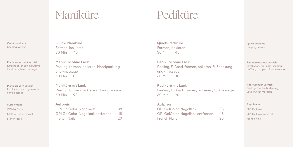# Maniküre

# Pediküre

**Quick manicure** Shaping, varnish

**Manicure without varnish**  Exfoliation, shaping, buffing, hand pack, hand massage

**Manicure with varnish** Exfoliation, shaping, varnish, hand massage

### **Supplement**

OPI GelColor OPI GelColor removal French Nails

**Quick-Maniküre** Formen, lackieren 30 Min 45

**Maniküre ohne Lack**  Peeling, formen, polieren, Handpackung und -massage 60 Min 80

**Maniküre mit Lack** Peeling, formen, lackieren, Handmassage 60 Min 90

# **Aufpreis**

| OPI GelColor-Nagellack           | 38 |
|----------------------------------|----|
| OPI GelColor-Nagellack entfernen | 18 |
| <b>French Nails</b>              | 20 |

**Quick-Pediküre** Formen, lackieren 30 Min 45

**Pediküre ohne Lack** Peeling, Fußbad, formen, polieren, Fußpackung und -massage 60 Min 80

**Pediküre mit Lack**

Peeling, Fußbad, formen, lackieren, Fußmassage 60 Min 90

# **Aufpreis**

| OPI GelColor-Nagellack           | 38 |
|----------------------------------|----|
| OPI GelColor-Nagellack entfernen | 18 |
| French Nails                     | 20 |

**Quick pedicure** Shaping, varnish

**Pedicure without varnish** Exfoliation, foot bath, shaping, buffing, foot pack, foot massage

**Pedicure with varnish** Peeling, foot bath, shaping, varnish, foot massage

**Supplement** OPI GelColor OPI GelColor removal French Nails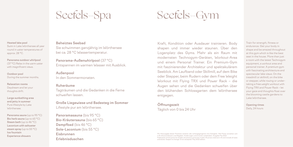# Seefels-Spa

# Seefels-Gym

**Heated lake pool** Swim in Lake Wörthersee all year round in water temperatures of approx. 28 °C.

**Panorama outdoor whirlpool** (37 °C) Relax in the warm water with magnificent views.

**Outdoor pool** During the summer months.

**Relaxation rooms** Daydream and let your thoughts drift.

**Large sunbathing area and jetty in summer** Pure lifestyle by Lake Wörthersee.

**Panorama sauna** (up to 95 °C) **Bio herb sauna** (up to 65 °C) **Steam bath** (up to 46 °C) **Laconium with saltwater steam spray** (up to 55 °C) **Ice fountain Experience showers**

**Beheiztes Seebad**

Sie schwimmen ganzjährig im Wörthersee bei ca. 28 °C Wassertemperatur.

**Panorama-Außenwhirlpool** (37 °C) Entspannen im warmen Wasser mit Ausblick.

**Außenpool** In den Sommermonaten.

## **Ruheräume**

Tagträumen und die Gedanken in die Ferne schweifen lassen.

**Große Liegewiese und Badesteg im Sommer** Lifestyle pur am Wörthersee.

**Panoramasauna** (bis 95 °C) **Bio-Kräutersauna** (bis 65 °C) **Dampfbad** (bis 46 °C) **Sole-Laconium** (bis 55 °C) **Eisbrunnen Erlebnisduschen**

Kraft, Kondition oder Ausdauer trainieren. Body shapen und immer wieder staunen. Über den Logenplatz des Gyms. Mehr als ein Raum mit modernsten Technogym-Geräten, Workout-Area und einem Personal Trainer. Ein Premium-Gym mit faszinierender Architektur und spektakulärem Seeblick. Am Laufband oder Skillmill, auf dem Bike oder Stepper, beim Rudern oder dem Free Weight Workout mit Flying TRX und Power Rack – die Augen sehen und die Gedanken schweifen über den blühenden Schlossgarten dem Wörthersee entgegen.

**Öffnungszeit**  Täglich von 0 bis 24 Uhr Train for strength, fitness or endurance. Get your body in shape and be amazed throughout at this gym which is like the best seat in the house. More than just a room with the latest Technogym equipment, a workout area and personal trainer. A premium gym with fascinating architecture and spectacular lake views. On the treadmill or skillmill, on the bike or stepper, while rowing or undertaking a free weight workout with Flying TRX and Power Rack – let your gaze and thoughts float over the blooming castle gardens to Lake Wörthersee.

**Opening times** Daily, 24 hours

Mit Herausgabe dieser Preisliste verlieren alle vorhergegangenen ihre Gültigkeit. Alle Preise verstehen sich in € inklusive Steuern und Abgaben. Änderungen und Irrtümer vorbehalten. Ausgabe Mai 2022. Publication of this price list renders all previous price lists invalid. All prices cited are in € and include all taxes and duties. Subject to change. Errors excepted. May 2022 edition.